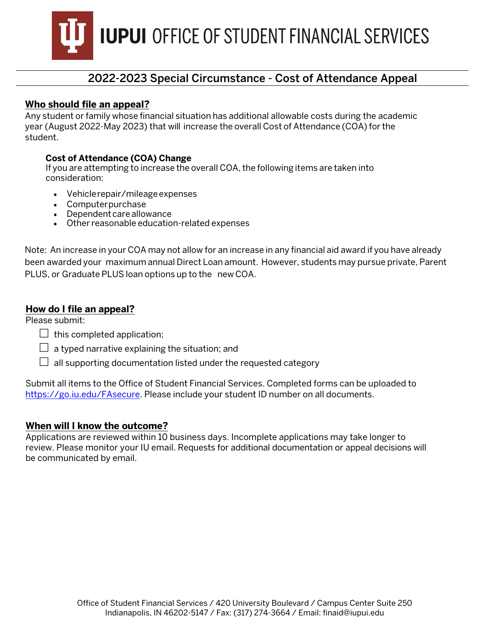**IUPUI** OFFICE OF STUDENT FINANCIAL SERVICES

## 2022-2023 Special Circumstance - Cost of Attendance Appeal

#### **Who should file an appeal?**

Any student or family whose financial situation has additional allowable costs during the academic year (August 2022-May 2023) that will increase the overall Cost of Attendance (COA) for the student.

#### **Cost of Attendance (COA) Change**

If you are attempting to increase the overall COA, the following items are taken into consideration:

- Vehicle repair/mileage expenses
- Computer purchase
- Dependent care allowance
- Other reasonable education-related expenses

Note: An increase in your COA may not allow for an increase in any financial aid award if you have already been awarded your maximum annual Direct Loan amount. However, students may pursue private, Parent PLUS, or Graduate PLUS loan options up to the new COA.

#### **How do I file an appeal?**

Please submit:

- $\Box$  this completed application;
- $\Box$  a typed narrative explaining the situation; and
- $\Box$  all supporting documentation listed under the requested category

Submit all items to the Office of Student Financial Services. Completed forms can be uploaded to [https://go.iu.edu/FAsecure.](https://go.iu.edu/fasecure) Please include your student ID number on all documents.

#### **When will I know the outcome?**

Applications are reviewed within 10 business days. Incomplete applications may take longer to review. Please monitor your IU email. Requests for additional documentation or appeal decisions will be communicated by email.